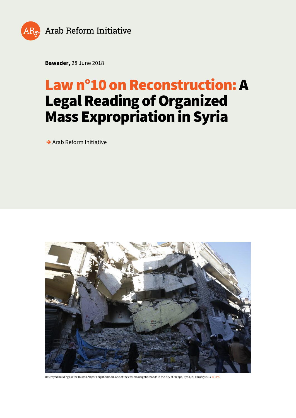

**Bawader,** 28 June 2018

# **Law n°10 on Reconstruction: A Legal Reading of Organized Mass Expropriation in Syria**

**→** Arab Reform Initiative



Destroyed buildings in the Bustan Alqasr neighborhood, one of the eastern neighborhoods in the city of Aleppo, Syria, 2 February 2017 © EPA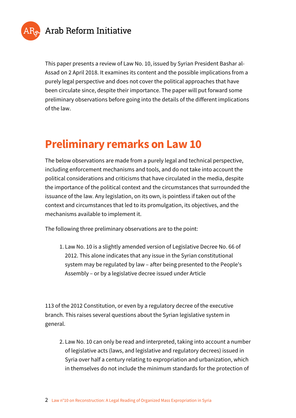

This paper presents a review of Law No. 10, issued by Syrian President Bashar al-Assad on 2 April 2018. It examines its content and the possible implications from a purely legal perspective and does not cover the political approaches that have been circulate since, despite their importance. The paper will put forward some preliminary observations before going into the details of the different implications of the law.

# **Preliminary remarks on Law 10**

The below observations are made from a purely legal and technical perspective, including enforcement mechanisms and tools, and do not take into account the political considerations and criticisms that have circulated in the media, despite the importance of the political context and the circumstances that surrounded the issuance of the law. Any legislation, on its own, is pointless if taken out of the context and circumstances that led to its promulgation, its objectives, and the mechanisms available to implement it.

The following three preliminary observations are to the point:

1. Law No. 10 is a slightly amended version of Legislative Decree No. 66 of 2012. This alone indicates that any issue in the Syrian constitutional system may be regulated by law – after being presented to the People's Assembly – or by a legislative decree issued under Article

113 of the 2012 Constitution, or even by a regulatory decree of the executive branch. This raises several questions about the Syrian legislative system in general.

2. Law No. 10 can only be read and interpreted, taking into account a number of legislative acts (laws, and legislative and regulatory decrees) issued in Syria over half a century relating to expropriation and urbanization, which in themselves do not include the minimum standards for the protection of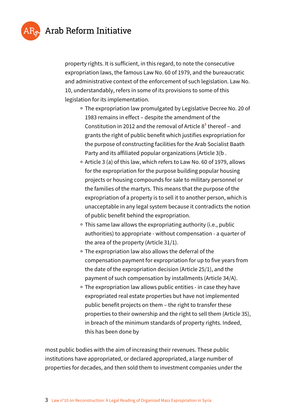



property rights. It is sufficient, in this regard, to note the consecutive expropriation laws, the famous Law No. 60 of 1979, and the bureaucratic and administrative context of the enforcement of such legislation. Law No. 10, understandably, refers in some of its provisions to some of this legislation for its implementation.

- The expropriation law promulgated by Legislative Decree No. 20 of 1983 remains in effect – despite the amendment of the Constitution in 2012 and the removal of Article 8<sup>1</sup> thereof – and grants the right of public benefit which justifies expropriation for the purpose of constructing facilities for the Arab Socialist Baath Party and its affiliated popular organizations (Article 3(b .
- o Article 3 (a) of this law, which refers to Law No. 60 of 1979, allows for the expropriation for the purpose building popular housing projects or housing compounds for sale to military personnel or the families of the martyrs. This means that the purpose of the expropriation of a property is to sell it to another person, which is unacceptable in any legal system because it contradicts the notion of public benefit behind the expropriation.
- This same law allows the expropriating authority (i.e., public authorities) to appropriate - without compensation - a quarter of the area of the property (Article 31/1).
- The expropriation law also allows the deferral of the compensation payment for expropriation for up to five years from the date of the expropriation decision (Article 25/1), and the payment of such compensation by installments (Article 34/A).
- The expropriation law allows public entities in case they have expropriated real estate properties but have not implemented public benefit projects on them – the right to transfer these properties to their ownership and the right to sell them (Article 35), in breach of the minimum standards of property rights. Indeed, this has been done by

most public bodies with the aim of increasing their revenues. These public institutions have appropriated, or declared appropriated, a large number of properties for decades, and then sold them to investment companies under the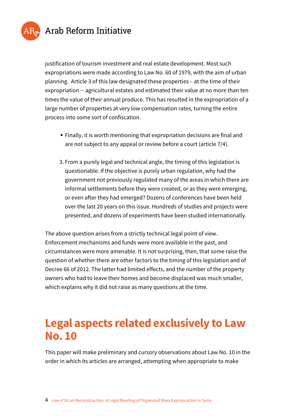



justification of tourism investment and real estate development. Most such expropriations were made according to Law No. 60 of 1979, with the aim of urban planning. Article 3 of this law designated these properties – at the time of their expropriation -- agricultural estates and estimated their value at no more than ten times the value of their annual produce. This has resulted in the expropriation of a large number of properties at very low compensation rates, turning the entire process into some sort of confiscation.

- Finally, it is worth mentioning that expropriation decisions are final and are not subject to any appeal or review before a court (article 7/4).
- 3. From a purely legal and technical angle, the timing of this legislation is questionable. If the objective is purely urban regulation, why had the government not previously regulated many of the areas in which there are informal settlements before they were created, or as they were emerging, or even after they had emerged? Dozens of conferences have been held over the last 20 years on this issue. Hundreds of studies and projects were presented, and dozens of experiments have been studied internationally.

The above question arises from a strictly technical legal point of view. Enforcement mechanisms and funds were more available in the past, and circumstances were more amenable. It is not surprising, then, that some raise the question of whether there are other factors to the timing of this legislation and of Decree 66 of 2012. The latter had limited effects, and the number of the property owners who had to leave their homes and become displaced was much smaller, which explains why it did not raise as many questions at the time.

# **Legal aspects related exclusively to Law No. 10**

This paper will make preliminary and cursory observations about Law No. 10 in the order in which its articles are arranged, attempting when appropriate to make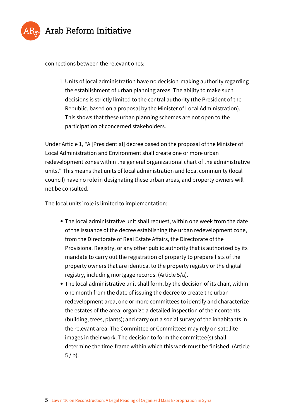

connections between the relevant ones:

1. Units of local administration have no decision-making authority regarding the establishment of urban planning areas. The ability to make such decisions is strictly limited to the central authority (the President of the Republic, based on a proposal by the Minister of Local Administration). This shows that these urban planning schemes are not open to the participation of concerned stakeholders.

Under Article 1, "A [Presidential] decree based on the proposal of the Minister of Local Administration and Environment shall create one or more urban redevelopment zones within the general organizational chart of the administrative units." This means that units of local administration and local community (local council) have no role in designating these urban areas, and property owners will not be consulted.

The local units' role is limited to implementation:

- The local administrative unit shall request, within one week from the date of the issuance of the decree establishing the urban redevelopment zone, from the Directorate of Real Estate Affairs, the Directorate of the Provisional Registry, or any other public authority that is authorized by its mandate to carry out the registration of property to prepare lists of the property owners that are identical to the property registry or the digital registry, including mortgage records. (Article 5/a).
- The local administrative unit shall form, by the decision of its chair, within one month from the date of issuing the decree to create the urban redevelopment area, one or more committees to identify and characterize the estates of the area; organize a detailed inspection of their contents (building, trees, plants); and carry out a social survey of the inhabitants in the relevant area. The Committee or Committees may rely on satellite images in their work. The decision to form the committee(s) shall determine the time-frame within which this work must be finished. (Article  $5 / b$ ).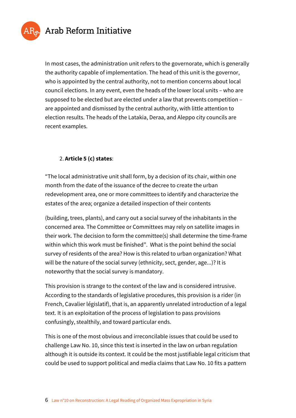

In most cases, the administration unit refers to the governorate, which is generally the authority capable of implementation. The head of this unit is the governor, who is appointed by the central authority, not to mention concerns about local council elections. In any event, even the heads of the lower local units – who are supposed to be elected but are elected under a law that prevents competition – are appointed and dismissed by the central authority, with little attention to election results. The heads of the Latakia, Deraa, and Aleppo city councils are recent examples.

#### 2. **Article 5 (c) states**:

"The local administrative unit shall form, by a decision of its chair, within one month from the date of the issuance of the decree to create the urban redevelopment area, one or more committees to identify and characterize the estates of the area; organize a detailed inspection of their contents

(building, trees, plants), and carry out a social survey of the inhabitants in the concerned area. The Committee or Committees may rely on satellite images in their work. The decision to form the committee(s) shall determine the time-frame within which this work must be finished". What is the point behind the social survey of residents of the area? How is this related to urban organization? What will be the nature of the social survey (ethnicity, sect, gender, age...)? It is noteworthy that the social survey is mandatory.

This provision is strange to the context of the law and is considered intrusive. According to the standards of legislative procedures, this provision is a rider (in French, Cavalier législatif), that is, an apparently unrelated introduction of a legal text. It is an exploitation of the process of legislation to pass provisions confusingly, stealthily, and toward particular ends.

This is one of the most obvious and irreconcilable issues that could be used to challenge Law No. 10, since this text is inserted in the law on urban regulation although it is outside its context. It could be the most justifiable legal criticism that could be used to support political and media claims that Law No. 10 fits a pattern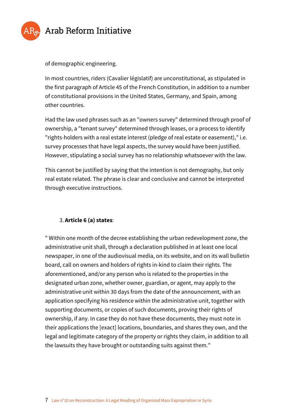

of demographic engineering.

In most countries, riders (Cavalier législatif) are unconstitutional, as stipulated in the first paragraph of Article 45 of the French Constitution, in addition to a number of constitutional provisions in the United States, Germany, and Spain, among other countries.

Had the law used phrases such as an "owners survey" determined through proof of ownership, a "tenant survey" determined through leases, or a process to identify "rights-holders with a real estate interest (pledge of real estate or easement)," i.e. survey processes that have legal aspects, the survey would have been justified. However, stipulating a social survey has no relationship whatsoever with the law.

This cannot be justified by saying that the intention is not demography, but only real estate related. The phrase is clear and conclusive and cannot be interpreted through executive instructions.

#### 3. **Article 6 (a) states**:

" Within one month of the decree establishing the urban redevelopment zone, the administrative unit shall, through a declaration published in at least one local newspaper, in one of the audiovisual media, on its website, and on its wall bulletin board, call on owners and holders of rights in-kind to claim their rights. The aforementioned, and/or any person who is related to the properties in the designated urban zone, whether owner, guardian, or agent, may apply to the administrative unit within 30 days from the date of the announcement, with an application specifying his residence within the administrative unit, together with supporting documents, or copies of such documents, proving their rights of ownership, if any. In case they do not have these documents, they must note in their applications the [exact] locations, boundaries, and shares they own, and the legal and legitimate category of the property or rights they claim, in addition to all the lawsuits they have brought or outstanding suits against them."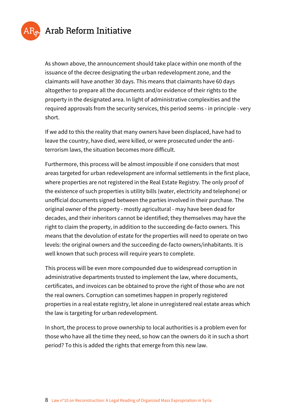

As shown above, the announcement should take place within one month of the issuance of the decree designating the urban redevelopment zone, and the claimants will have another 30 days. This means that claimants have 60 days altogether to prepare all the documents and/or evidence of their rights to the property in the designated area. In light of administrative complexities and the required approvals from the security services, this period seems - in principle - very short.

If we add to this the reality that many owners have been displaced, have had to leave the country, have died, were killed, or were prosecuted under the antiterrorism laws, the situation becomes more difficult.

Furthermore, this process will be almost impossible if one considers that most areas targeted for urban redevelopment are informal settlements in the first place, where properties are not registered in the Real Estate Registry. The only proof of the existence of such properties is utility bills (water, electricity and telephone) or unofficial documents signed between the parties involved in their purchase. The original owner of the property - mostly agricultural - may have been dead for decades, and their inheritors cannot be identified; they themselves may have the right to claim the property, in addition to the succeeding de-facto owners. This means that the devolution of estate for the properties will need to operate on two levels: the original owners and the succeeding de-facto owners/inhabitants. It is well known that such process will require years to complete.

This process will be even more compounded due to widespread corruption in administrative departments trusted to implement the law, where documents, certificates, and invoices can be obtained to prove the right of those who are not the real owners. Corruption can sometimes happen in properly registered properties in a real estate registry, let alone in unregistered real estate areas which the law is targeting for urban redevelopment.

In short, the process to prove ownership to local authorities is a problem even for those who have all the time they need, so how can the owners do it in such a short period? To this is added the rights that emerge from this new law.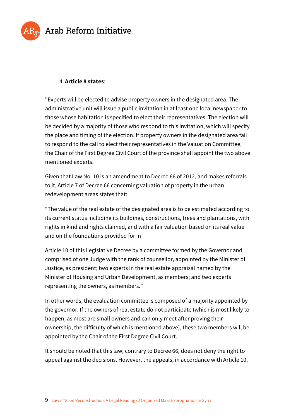

#### 4. **Article 8 states**:

"Experts will be elected to advise property owners in the designated area. The administrative unit will issue a public invitation in at least one local newspaper to those whose habitation is specified to elect their representatives. The election will be decided by a majority of those who respond to this invitation, which will specify the place and timing of the election. If property owners in the designated area fail to respond to the call to elect their representatives in the Valuation Committee, the Chair of the First Degree Civil Court of the province shall appoint the two above mentioned experts.

Given that Law No. 10 is an amendment to Decree 66 of 2012, and makes referrals to it, Article 7 of Decree 66 concerning valuation of property in the urban redevelopment areas states that:

"The value of the real estate of the designated area is to be estimated according to its current status including its buildings, constructions, trees and plantations, with rights in kind and rights claimed, and with a fair valuation based on its real value and on the foundations provided for in

Article 10 of this Legislative Decree by a committee formed by the Governor and comprised of one Judge with the rank of counsellor, appointed by the Minister of Justice, as president; two experts in the real estate appraisal named by the Minister of Housing and Urban Development, as members; and two experts representing the owners, as members."

In other words, the evaluation committee is composed of a majority appointed by the governor. If the owners of real estate do not participate (which is most likely to happen, as most are small owners and can only meet after proving their ownership, the difficulty of which is mentioned above), these two members will be appointed by the Chair of the First Degree Civil Court.

It should be noted that this law, contrary to Decree 66, does not deny the right to appeal against the decisions. However, the appeals, in accordance with Article 10,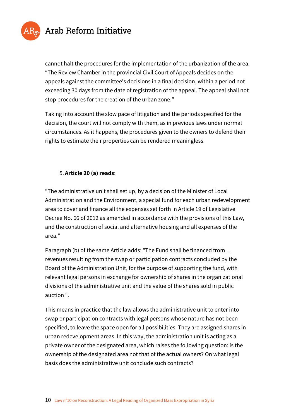

cannot halt the procedures for the implementation of the urbanization of the area. "The Review Chamber in the provincial Civil Court of Appeals decides on the appeals against the committee's decisions in a final decision, within a period not exceeding 30 days from the date of registration of the appeal. The appeal shall not stop procedures for the creation of the urban zone."

Taking into account the slow pace of litigation and the periods specified for the decision, the court will not comply with them, as in previous laws under normal circumstances. As it happens, the procedures given to the owners to defend their rights to estimate their properties can be rendered meaningless.

#### 5. **Article 20 (a) reads**:

"The administrative unit shall set up, by a decision of the Minister of Local Administration and the Environment, a special fund for each urban redevelopment area to cover and finance all the expenses set forth in Article 19 of Legislative Decree No. 66 of 2012 as amended in accordance with the provisions of this Law, and the construction of social and alternative housing and all expenses of the area."

Paragraph (b) of the same Article adds: "The Fund shall be financed from… revenues resulting from the swap or participation contracts concluded by the Board of the Administration Unit, for the purpose of supporting the fund, with relevant legal persons in exchange for ownership of shares in the organizational divisions of the administrative unit and the value of the shares sold in public auction ".

This means in practice that the law allows the administrative unit to enter into swap or participation contracts with legal persons whose nature has not been specified, to leave the space open for all possibilities. They are assigned shares in urban redevelopment areas. In this way, the administration unit is acting as a private owner of the designated area, which raises the following question: is the ownership of the designated area not that of the actual owners? On what legal basis does the administrative unit conclude such contracts?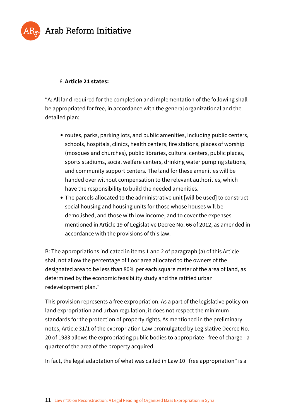



#### 6. **Article 21 states:**

"A: All land required for the completion and implementation of the following shall be appropriated for free, in accordance with the general organizational and the detailed plan:

- routes, parks, parking lots, and public amenities, including public centers, schools, hospitals, clinics, health centers, fire stations, places of worship (mosques and churches), public libraries, cultural centers, public places, sports stadiums, social welfare centers, drinking water pumping stations, and community support centers. The land for these amenities will be handed over without compensation to the relevant authorities, which have the responsibility to build the needed amenities.
- The parcels allocated to the administrative unit [will be used] to construct social housing and housing units for those whose houses will be demolished, and those with low income, and to cover the expenses mentioned in Article 19 of Legislative Decree No. 66 of 2012, as amended in accordance with the provisions of this law.

B: The appropriations indicated in items 1 and 2 of paragraph (a) of this Article shall not allow the percentage of floor area allocated to the owners of the designated area to be less than 80% per each square meter of the area of land, as determined by the economic feasibility study and the ratified urban redevelopment plan."

This provision represents a free expropriation. As a part of the legislative policy on land expropriation and urban regulation, it does not respect the minimum standards for the protection of property rights. As mentioned in the preliminary notes, Article 31/1 of the expropriation Law promulgated by Legislative Decree No. 20 of 1983 allows the expropriating public bodies to appropriate - free of charge - a quarter of the area of the property acquired.

In fact, the legal adaptation of what was called in Law 10 "free appropriation" is a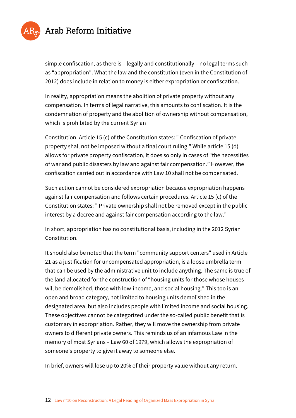

simple confiscation, as there is – legally and constitutionally – no legal terms such as "appropriation". What the law and the constitution (even in the Constitution of 2012) does include in relation to money is either expropriation or confiscation.

In reality, appropriation means the abolition of private property without any compensation. In terms of legal narrative, this amounts to confiscation. It is the condemnation of property and the abolition of ownership without compensation, which is prohibited by the current Syrian

Constitution. Article 15 (c) of the Constitution states: " Confiscation of private property shall not be imposed without a final court ruling." While article 15 (d) allows for private property confiscation, it does so only in cases of "the necessities of war and public disasters by law and against fair compensation." However, the confiscation carried out in accordance with Law 10 shall not be compensated.

Such action cannot be considered expropriation because expropriation happens against fair compensation and follows certain procedures. Article 15 (c) of the Constitution states: " Private ownership shall not be removed except in the public interest by a decree and against fair compensation according to the law."

In short, appropriation has no constitutional basis, including in the 2012 Syrian Constitution.

It should also be noted that the term "community support centers" used in Article 21 as a justification for uncompensated appropriation, is a loose umbrella term that can be used by the administrative unit to include anything. The same is true of the land allocated for the construction of "housing units for those whose houses will be demolished, those with low-income, and social housing." This too is an open and broad category, not limited to housing units demolished in the designated area, but also includes people with limited income and social housing. These objectives cannot be categorized under the so-called public benefit that is customary in expropriation. Rather, they will move the ownership from private owners to different private owners. This reminds us of an infamous Law in the memory of most Syrians – Law 60 of 1979, which allows the expropriation of someone's property to give it away to someone else.

In brief, owners will lose up to 20% of their property value without any return.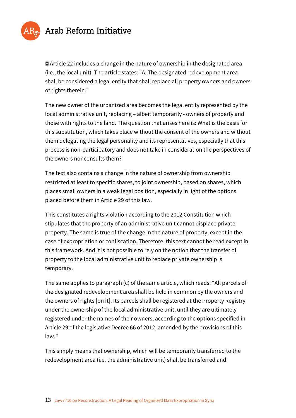

**ØArticle 22 includes a change in the nature of ownership in the designated area** (i.e., the local unit). The article states: "A: The designated redevelopment area shall be considered a legal entity that shall replace all property owners and owners of rights therein."

The new owner of the urbanized area becomes the legal entity represented by the local administrative unit, replacing – albeit temporarily - owners of property and those with rights to the land. The question that arises here is: What is the basis for this substitution, which takes place without the consent of the owners and without them delegating the legal personality and its representatives, especially that this process is non-participatory and does not take in consideration the perspectives of the owners nor consults them?

The text also contains a change in the nature of ownership from ownership restricted at least to specific shares, to joint ownership, based on shares, which places small owners in a weak legal position, especially in light of the options placed before them in Article 29 of this law.

This constitutes a rights violation according to the 2012 Constitution which stipulates that the property of an administrative unit cannot displace private property. The same is true of the change in the nature of property, except in the case of expropriation or confiscation. Therefore, this text cannot be read except in this framework. And it is not possible to rely on the notion that the transfer of property to the local administrative unit to replace private ownership is temporary.

The same applies to paragraph (c) of the same article, which reads: "All parcels of the designated redevelopment area shall be held in common by the owners and the owners of rights [on it]. Its parcels shall be registered at the Property Registry under the ownership of the local administrative unit, until they are ultimately registered under the names of their owners, according to the options specified in Article 29 of the legislative Decree 66 of 2012, amended by the provisions of this law."

This simply means that ownership, which will be temporarily transferred to the redevelopment area (i.e. the administrative unit) shall be transferred and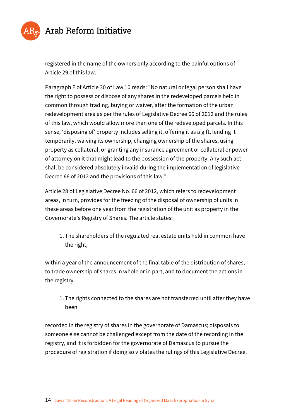

registered in the name of the owners only according to the painful options of Article 29 of this law.

Paragraph F of Article 30 of Law 10 reads: "No natural or legal person shall have the right to possess or dispose of any shares in the redeveloped parcels held in common through trading, buying or waiver, after the formation of the urban redevelopment area as per the rules of Legislative Decree 66 of 2012 and the rules of this law, which would allow more than one of the redeveloped parcels. In this sense, 'disposing of' property includes selling it, offering it as a gift, lending it temporarily, waiving its ownership, changing ownership of the shares, using property as collateral, or granting any insurance agreement or collateral or power of attorney on it that might lead to the possession of the property. Any such act shall be considered absolutely invalid during the implementation of legislative Decree 66 of 2012 and the provisions of this law."

Article 28 of Legislative Decree No. 66 of 2012, which refers to redevelopment areas, in turn, provides for the freezing of the disposal of ownership of units in these areas before one year from the registration of the unit as property in the Governorate's Registry of Shares. The article states:

1. The shareholders of the regulated real estate units held in common have the right,

within a year of the announcement of the final table of the distribution of shares, to trade ownership of shares in whole or in part, and to document the actions in the registry.

1. The rights connected to the shares are not transferred until after they have been

recorded in the registry of shares in the governorate of Damascus; disposals to someone else cannot be challenged except from the date of the recording in the registry, and it is forbidden for the governorate of Damascus to pursue the procedure of registration if doing so violates the rulings of this Legislative Decree.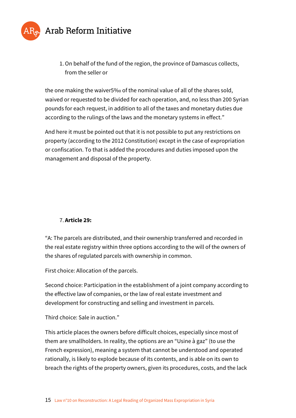

1.On behalf of the fund of the region, the province of Damascus collects, from the seller or

the one making the waiver5‰ of the nominal value of all of the shares sold, waived or requested to be divided for each operation, and, no less than 200 Syrian pounds for each request, in addition to all of the taxes and monetary duties due according to the rulings of the laws and the monetary systems in effect."

And here it must be pointed out that it is not possible to put any restrictions on property (according to the 2012 Constitution) except in the case of expropriation or confiscation. To that is added the procedures and duties imposed upon the management and disposal of the property.

#### 7. **Article 29:**

"A: The parcels are distributed, and their ownership transferred and recorded in the real estate registry within three options according to the will of the owners of the shares of regulated parcels with ownership in common.

First choice: Allocation of the parcels.

Second choice: Participation in the establishment of a joint company according to the effective law of companies, or the law of real estate investment and development for constructing and selling and investment in parcels.

#### Third choice: Sale in auction."

This article places the owners before difficult choices, especially since most of them are smallholders. In reality, the options are an "Usine à gaz" (to use the French expression), meaning a system that cannot be understood and operated rationally, is likely to explode because of its contents, and is able on its own to breach the rights of the property owners, given its procedures, costs, and the lack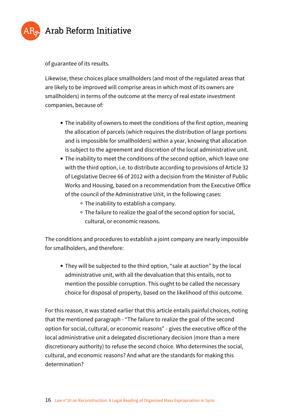

of guarantee of its results.

Likewise, these choices place smallholders (and most of the regulated areas that are likely to be improved will comprise areas in which most of its owners are smallholders) in terms of the outcome at the mercy of real estate investment companies, because of:

- The inability of owners to meet the conditions of the first option, meaning the allocation of parcels (which requires the distribution of large portions and is impossible for smallholders) within a year, knowing that allocation is subject to the agreement and discretion of the local administrative unit.
- The inability to meet the conditions of the second option, which leave one with the third option, i.e. to distribute according to provisions of Article 32 of Legislative Decree 66 of 2012 with a decision from the Minister of Public Works and Housing, based on a recommendation from the Executive Office of the council of the Administrative Unit, in the following cases:
	- The inability to establish a company.
	- <sup>o</sup> The failure to realize the goal of the second option for social, cultural, or economic reasons.

The conditions and procedures to establish a joint company are nearly impossible for smallholders, and therefore:

They will be subjected to the third option, "sale at auction" by the local administrative unit, with all the devaluation that this entails, not to mention the possible corruption. This ought to be called the necessary choice for disposal of property, based on the likelihood of this outcome.

For this reason, it was stated earlier that this article entails painful choices, noting that the mentioned paragraph - "The failure to realize the goal of the second option for social, cultural, or economic reasons" - gives the executive office of the local administrative unit a delegated discretionary decision (more than a mere discretionary authority) to refuse the second choice. Who determines the social, cultural, and economic reasons? And what are the standards for making this determination?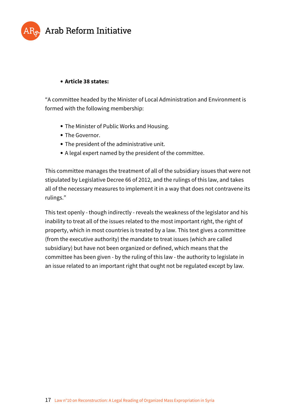

#### **Article 38 states:**

"A committee headed by the Minister of Local Administration and Environment is formed with the following membership:

- The Minister of Public Works and Housing.
- The Governor.
- The president of the administrative unit.
- A legal expert named by the president of the committee.

This committee manages the treatment of all of the subsidiary issues that were not stipulated by Legislative Decree 66 of 2012, and the rulings of this law, and takes all of the necessary measures to implement it in a way that does not contravene its rulings."

This text openly - though indirectly - reveals the weakness of the legislator and his inability to treat all of the issues related to the most important right, the right of property, which in most countries is treated by a law. This text gives a committee (from the executive authority) the mandate to treat issues (which are called subsidiary) but have not been organized or defined, which means that the committee has been given - by the ruling of this law - the authority to legislate in an issue related to an important right that ought not be regulated except by law.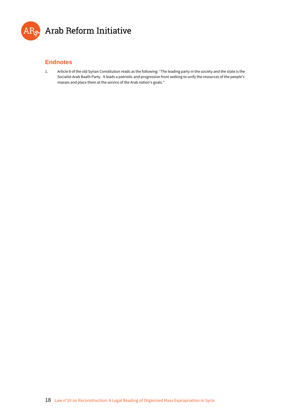

#### **Endnotes**

1. Article 8 of the old Syrian Constitution reads as the following: "The leading party in the society and the state is the Socialist Arab Baath Party. It leads a patriotic and progressive front seeking to unify the resources of the people's masses and place them at the service of the Arab nation's goals."